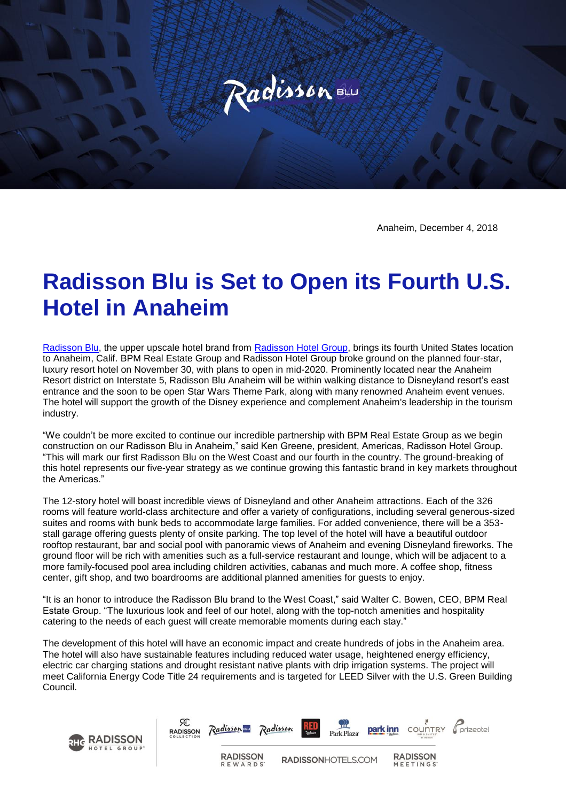

Anaheim, December 4, 2018

## **Radisson Blu is Set to Open its Fourth U.S. Hotel in Anaheim**

[Radisson Blu,](https://www.radissonblu.com/) the upper upscale hotel brand from [Radisson Hotel Group,](https://www.radissonhotelgroup.com/) brings its fourth United States location to Anaheim, Calif. BPM Real Estate Group and Radisson Hotel Group broke ground on the planned four-star, luxury resort hotel on November 30, with plans to open in mid-2020. Prominently located near the Anaheim Resort district on Interstate 5, Radisson Blu Anaheim will be within walking distance to Disneyland resort's east entrance and the soon to be open Star Wars Theme Park, along with many renowned Anaheim event venues. The hotel will support the growth of the Disney experience and complement Anaheim's leadership in the tourism industry.

"We couldn't be more excited to continue our incredible partnership with BPM Real Estate Group as we begin construction on our Radisson Blu in Anaheim," said Ken Greene, president, Americas, Radisson Hotel Group. "This will mark our first Radisson Blu on the West Coast and our fourth in the country. The ground-breaking of this hotel represents our five-year strategy as we continue growing this fantastic brand in key markets throughout the Americas."

The 12-story hotel will boast incredible views of Disneyland and other Anaheim attractions. Each of the 326 rooms will feature world-class architecture and offer a variety of configurations, including several generous-sized suites and rooms with bunk beds to accommodate large families. For added convenience, there will be a 353 stall garage offering guests plenty of onsite parking. The top level of the hotel will have a beautiful outdoor rooftop restaurant, bar and social pool with panoramic views of Anaheim and evening Disneyland fireworks. The ground floor will be rich with amenities such as a full-service restaurant and lounge, which will be adjacent to a more family-focused pool area including children activities, cabanas and much more. A coffee shop, fitness center, gift shop, and two boardrooms are additional planned amenities for guests to enjoy.

"It is an honor to introduce the Radisson Blu brand to the West Coast," said Walter C. Bowen, CEO, BPM Real Estate Group. "The luxurious look and feel of our hotel, along with the top-notch amenities and hospitality catering to the needs of each guest will create memorable moments during each stay."

The development of this hotel will have an economic impact and create hundreds of jobs in the Anaheim area. The hotel will also have sustainable features including reduced water usage, heightened energy efficiency, electric car charging stations and drought resistant native plants with drip irrigation systems. The project will meet California Energy Code Title 24 requirements and is targeted for LEED Silver with the U.S. Green Building Council.